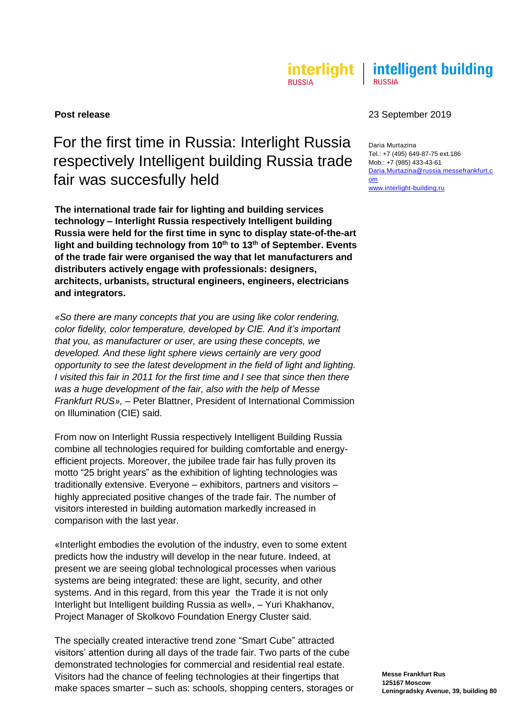#### interlight | intelligent building **RUSSIA RUSSIA**

# For the first time in Russia: Interlight Russia respectively Intelligent building Russia trade fair was succesfully held

**The international trade fair for lighting and building services technology – Interlight Russia respectively Intelligent building Russia were held for the first time in sync to display state-of-the-art light and building technology from 10th to 13th of September. Events of the trade fair were organised the way that let manufacturers and distributers actively engage with professionals: designers, architects, urbanists, structural engineers, engineers, electricians and integrators.**

*«So there are many concepts that you are using like color rendering, color fidelity, color temperature, developed by CIE. And it's important that you, as manufacturer or user, are using these concepts, we developed. And these light sphere views certainly are very good opportunity to see the latest development in the field of light and lighting. I visited this fair in 2011 for the first time and I see that since then there was a huge development of the fair, also with the help of Messe Frankfurt RUS», –* Peter Blattner, President of International Commission on Illumination (CIE) said.

From now on Interlight Russia respectively Intelligent Building Russia combine all technologies required for building comfortable and energyefficient projects. Moreover, the jubilee trade fair has fully proven its motto "25 bright years" as the exhibition of lighting technologies was traditionally extensive. Everyone – exhibitors, partners and visitors – highly appreciated positive changes of the trade fair. The number of visitors interested in building automation markedly increased in comparison with the last year.

«Interlight embodies the evolution of the industry, even to some extent predicts how the industry will develop in the near future. Indeed, at present we are seeing global technological processes when various systems are being integrated: these are light, security, and other systems. And in this regard, from this year the Trade it is not only Interlight but Intelligent building Russia as well», – Yuri Khakhanov, Project Manager of Skolkovo Foundation Energy Cluster said.

The specially created interactive trend zone "Smart Cube" attracted visitors' attention during all days of the trade fair. Two parts of the cube demonstrated technologies for commercial and residential real estate. Visitors had the chance of feeling technologies at their fingertips that make spaces smarter – such as: schools, shopping centers, storages or

## **Post release** 23 September 2019

Daria Murtazina Tel.: +7 (495) 649-87-75 ext.186 Mob.: +7 (985) 433-43-61 [Daria.Murtazina@russia.messefrankfurt.c](mailto:Daria.Murtazina@russia.messefrankfurt.com) [om](mailto:Daria.Murtazina@russia.messefrankfurt.com) [www.interlight-building.ru](http://www.interlight-building.ru/)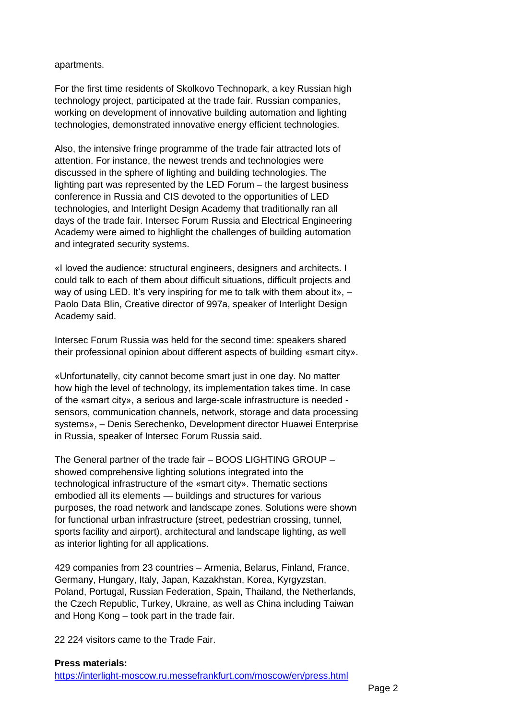apartments.

For the first time residents of Skolkovo Technopark, a key Russian high technology project, participated at the trade fair. Russian companies, working on development of innovative building automation and lighting technologies, demonstrated innovative energy efficient technologies.

Also, the intensive fringe programme of the trade fair attracted lots of attention. For instance, the newest trends and technologies were discussed in the sphere of lighting and building technologies. The lighting part was represented by the LED Forum – the largest business conference in Russia and CIS devoted to the opportunities of LED technologies, and Interlight Design Academy that traditionally ran all days of the trade fair. Intersec Forum Russia and Electrical Engineering Academy were aimed to highlight the challenges of building automation and integrated security systems.

«I loved the audience: structural engineers, designers and architects. I could talk to each of them about difficult situations, difficult projects and way of using LED. It's very inspiring for me to talk with them about it», -Paolo Data Blin, Creative director of 997a, speaker of Interlight Design Academy said.

Intersec Forum Russia was held for the second time: speakers shared their professional opinion about different aspects of building «smart city».

«Unfortunatelly, city cannot become smart just in one day. No matter how high the level of technology, its implementation takes time. In case of the «smart city», a serious and large-scale infrastructure is needed sensors, communication channels, network, storage and data processing systems», – Denis Serechenko, Development director Huawei Enterprise in Russia, speaker of Intersec Forum Russia said.

The General partner of the trade fair – BOOS LIGHTING GROUP – showed comprehensive lighting solutions integrated into the technological infrastructure of the «smart city». Thematic sections embodied all its elements — buildings and structures for various purposes, the road network and landscape zones. Solutions were shown for functional urban infrastructure (street, pedestrian crossing, tunnel, sports facility and airport), architectural and landscape lighting, as well as interior lighting for all applications.

429 companies from 23 countries – Armenia, Belarus, Finland, France, Germany, Hungary, Italy, Japan, Kazakhstan, Korea, Kyrgyzstan, Poland, Portugal, Russian Federation, Spain, Thailand, the Netherlands, the Czech Republic, Turkey, Ukraine, as well as China including Taiwan and Hong Kong – took part in the trade fair.

22 224 visitors came to the Trade Fair.